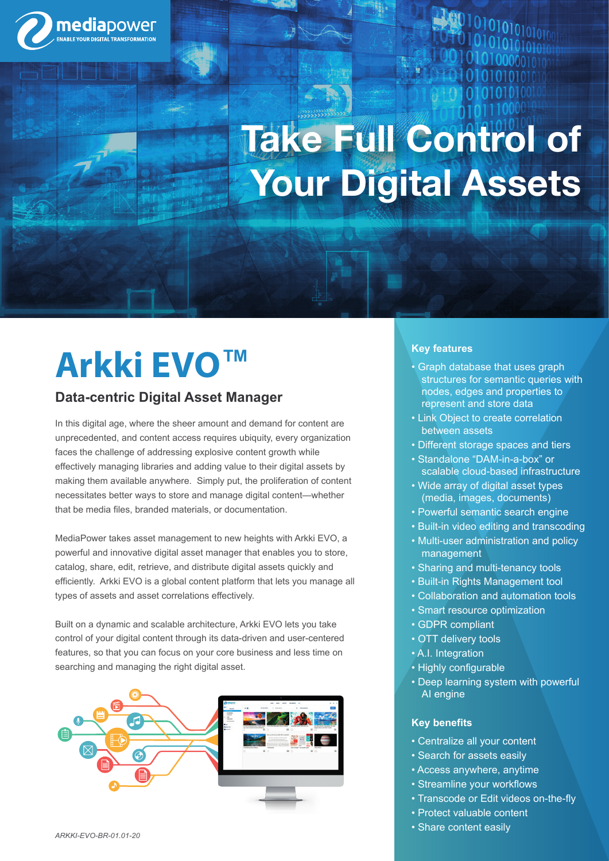

# **Take Full Control of Your Digital Assets**

## **Arkki EVO™**

### **Data-centric Digital Asset Manager**

In this digital age, where the sheer amount and demand for content are unprecedented, and content access requires ubiquity, every organization faces the challenge of addressing explosive content growth while effectively managing libraries and adding value to their digital assets by making them available anywhere. Simply put, the proliferation of content necessitates better ways to store and manage digital content—whether that be media files, branded materials, or documentation.

MediaPower takes asset management to new heights with Arkki EVO, a powerful and innovative digital asset manager that enables you to store, catalog, share, edit, retrieve, and distribute digital assets quickly and efficiently. Arkki EVO is a global content platform that lets you manage all types of assets and asset correlations effectively.

Built on a dynamic and scalable architecture, Arkki EVO lets you take control of your digital content through its data-driven and user-centered features, so that you can focus on your core business and less time on searching and managing the right digital asset.



#### **Key features**

- Graph database that uses graph structures for semantic queries with nodes, edges and properties to represent and store data
- Link Object to create correlation between assets
- Different storage spaces and tiers
- Standalone "DAM-in-a-box" or scalable cloud-based infrastructure
- Wide array of digital asset types (media, images, documents)
- Powerful semantic search engine
- Built-in video editing and transcoding
- Multi-user administration and policy management
- Sharing and multi-tenancy tools
- Built-in Rights Management tool
- Collaboration and automation tools
- Smart resource optimization
- GDPR compliant
- OTT delivery tools
- A.I. Integration
- Highly configurable
- Deep learning system with powerful AI engine

#### **Key benefits**

- Centralize all your content
- Search for assets easily
- Access anywhere, anytime
- Streamline your workflows
- Transcode or Edit videos on-the-fly
- Protect valuable content
- Share content easily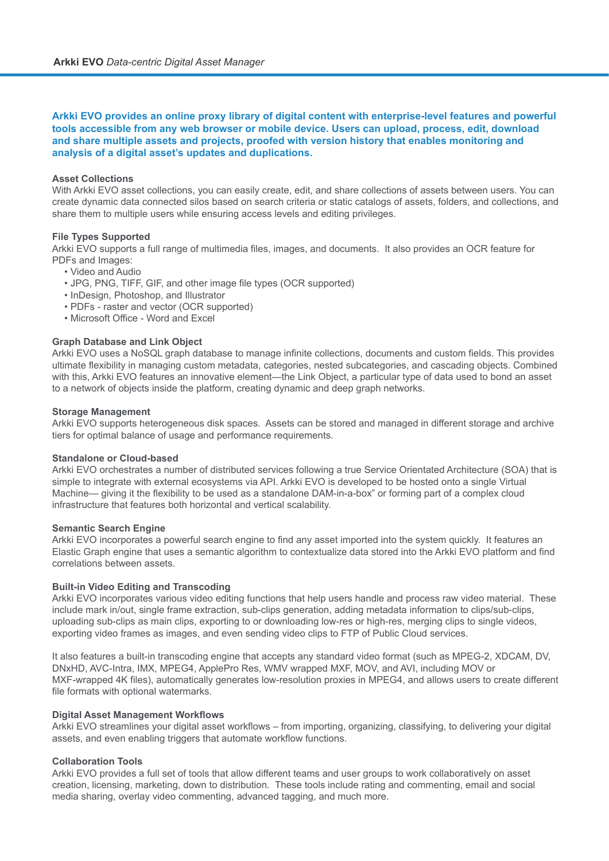#### **Arkki EVO provides an online proxy library of digital content with enterprise-level features and powerful tools accessible from any web browser or mobile device. Users can upload, process, edit, download and share multiple assets and projects, proofed with version history that enables monitoring and analysis of a digital asset's updates and duplications.**

#### **Asset Collections**

With Arkki EVO asset collections, you can easily create, edit, and share collections of assets between users. You can create dynamic data connected silos based on search criteria or static catalogs of assets, folders, and collections, and share them to multiple users while ensuring access levels and editing privileges.

#### **File Types Supported**

Arkki EVO supports a full range of multimedia files, images, and documents. It also provides an OCR feature for PDFs and Images:

- Video and Audio
- JPG, PNG, TIFF, GIF, and other image file types (OCR supported)
- InDesign, Photoshop, and Illustrator
- PDFs raster and vector (OCR supported)
- Microsoft Office Word and Excel

#### **Graph Database and Link Object**

Arkki EVO uses a NoSQL graph database to manage infinite collections, documents and custom fields. This provides ultimate flexibility in managing custom metadata, categories, nested subcategories, and cascading objects. Combined with this, Arkki EVO features an innovative element—the Link Object, a particular type of data used to bond an asset to a network of objects inside the platform, creating dynamic and deep graph networks.

#### **Storage Management**

Arkki EVO supports heterogeneous disk spaces. Assets can be stored and managed in different storage and archive tiers for optimal balance of usage and performance requirements.

#### **Standalone or Cloud-based**

Arkki EVO orchestrates a number of distributed services following a true Service Orientated Architecture (SOA) that is simple to integrate with external ecosystems via API. Arkki EVO is developed to be hosted onto a single Virtual Machine— giving it the flexibility to be used as a standalone DAM-in-a-box" or forming part of a complex cloud infrastructure that features both horizontal and vertical scalability.

#### **Semantic Search Engine**

Arkki EVO incorporates a powerful search engine to find any asset imported into the system quickly. It features an Elastic Graph engine that uses a semantic algorithm to contextualize data stored into the Arkki EVO platform and find correlations between assets.

#### **Built-in Video Editing and Transcoding**

Arkki EVO incorporates various video editing functions that help users handle and process raw video material. These include mark in/out, single frame extraction, sub-clips generation, adding metadata information to clips/sub-clips, uploading sub-clips as main clips, exporting to or downloading low-res or high-res, merging clips to single videos, exporting video frames as images, and even sending video clips to FTP of Public Cloud services.

It also features a built-in transcoding engine that accepts any standard video format (such as MPEG-2, XDCAM, DV, DNxHD, AVC-Intra, IMX, MPEG4, ApplePro Res, WMV wrapped MXF, MOV, and AVI, including MOV or MXF-wrapped 4K files), automatically generates low-resolution proxies in MPEG4, and allows users to create different file formats with optional watermarks.

#### **Digital Asset Management Workflows**

Arkki EVO streamlines your digital asset workflows – from importing, organizing, classifying, to delivering your digital assets, and even enabling triggers that automate workflow functions.

#### **Collaboration Tools**

Arkki EVO provides a full set of tools that allow different teams and user groups to work collaboratively on asset creation, licensing, marketing, down to distribution. These tools include rating and commenting, email and social media sharing, overlay video commenting, advanced tagging, and much more.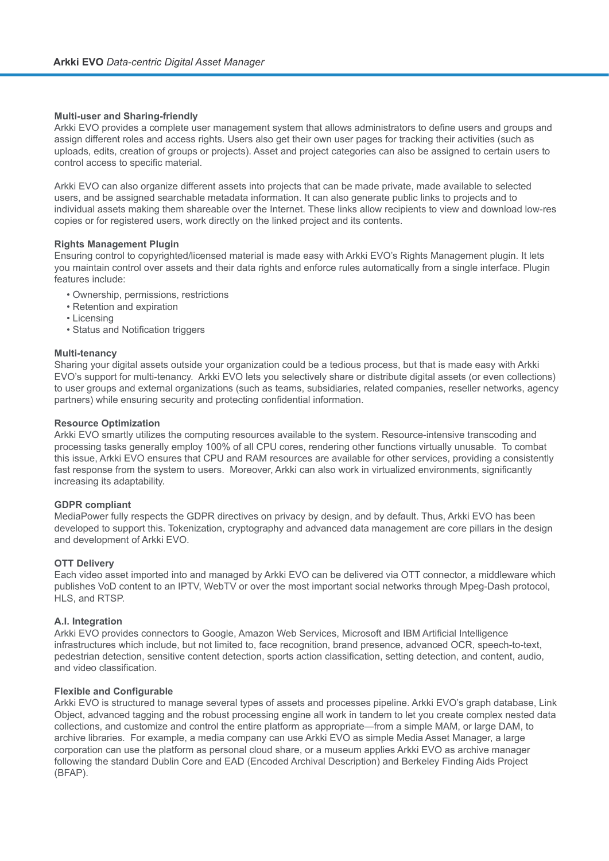#### **Multi-user and Sharing-friendly**

Arkki EVO provides a complete user management system that allows administrators to define users and groups and assign different roles and access rights. Users also get their own user pages for tracking their activities (such as uploads, edits, creation of groups or projects). Asset and project categories can also be assigned to certain users to control access to specific material.

Arkki EVO can also organize different assets into projects that can be made private, made available to selected users, and be assigned searchable metadata information. It can also generate public links to projects and to individual assets making them shareable over the Internet. These links allow recipients to view and download low-res copies or for registered users, work directly on the linked project and its contents.

#### **Rights Management Plugin**

Ensuring control to copyrighted/licensed material is made easy with Arkki EVO's Rights Management plugin. It lets you maintain control over assets and their data rights and enforce rules automatically from a single interface. Plugin features include:

- Ownership, permissions, restrictions
- Retention and expiration
- Licensing
- Status and Notification triggers

#### **Multi-tenancy**

Sharing your digital assets outside your organization could be a tedious process, but that is made easy with Arkki EVO's support for multi-tenancy. Arkki EVO lets you selectively share or distribute digital assets (or even collections) to user groups and external organizations (such as teams, subsidiaries, related companies, reseller networks, agency partners) while ensuring security and protecting confidential information.

#### **Resource Optimization**

Arkki EVO smartly utilizes the computing resources available to the system. Resource-intensive transcoding and processing tasks generally employ 100% of all CPU cores, rendering other functions virtually unusable. To combat this issue, Arkki EVO ensures that CPU and RAM resources are available for other services, providing a consistently fast response from the system to users. Moreover, Arkki can also work in virtualized environments, significantly increasing its adaptability.

#### **GDPR compliant**

MediaPower fully respects the GDPR directives on privacy by design, and by default. Thus, Arkki EVO has been developed to support this. Tokenization, cryptography and advanced data management are core pillars in the design and development of Arkki EVO.

#### **OTT Delivery**

Each video asset imported into and managed by Arkki EVO can be delivered via OTT connector, a middleware which publishes VoD content to an IPTV, WebTV or over the most important social networks through Mpeg-Dash protocol, HLS, and RTSP.

#### **A.I. Integration**

Arkki EVO provides connectors to Google, Amazon Web Services, Microsoft and IBM Artificial Intelligence infrastructures which include, but not limited to, face recognition, brand presence, advanced OCR, speech-to-text, pedestrian detection, sensitive content detection, sports action classification, setting detection, and content, audio, and video classification.

#### **Flexible and Configurable**

Arkki EVO is structured to manage several types of assets and processes pipeline. Arkki EVO's graph database, Link Object, advanced tagging and the robust processing engine all work in tandem to let you create complex nested data collections, and customize and control the entire platform as appropriate—from a simple MAM, or large DAM, to archive libraries. For example, a media company can use Arkki EVO as simple Media Asset Manager, a large corporation can use the platform as personal cloud share, or a museum applies Arkki EVO as archive manager following the standard Dublin Core and EAD (Encoded Archival Description) and Berkeley Finding Aids Project (BFAP).